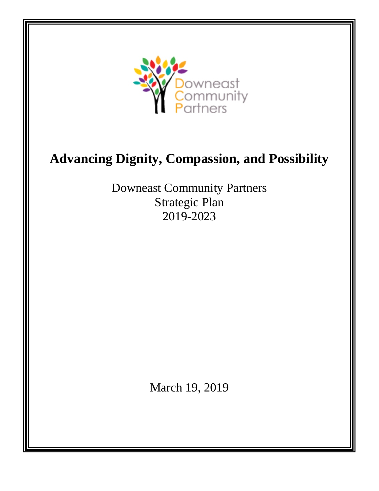

# **Advancing Dignity, Compassion, and Possibility**

Downeast Community Partners Strategic Plan 2019-2023

March 19, 2019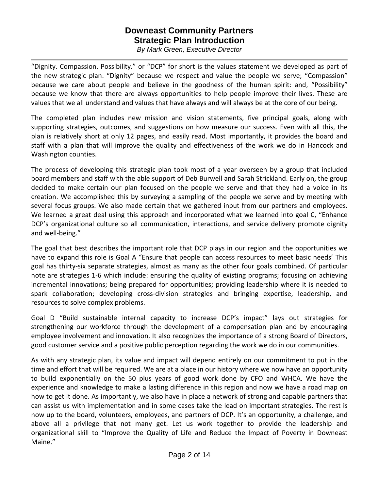## **Downeast Community Partners Strategic Plan Introduction**

*By Mark Green, Executive Director*

"Dignity. Compassion. Possibility." or "DCP" for short is the values statement we developed as part of the new strategic plan. "Dignity" because we respect and value the people we serve; "Compassion" because we care about people and believe in the goodness of the human spirit: and, "Possibility" because we know that there are always opportunities to help people improve their lives. These are values that we all understand and values that have always and will always be at the core of our being.

The completed plan includes new mission and vision statements, five principal goals, along with supporting strategies, outcomes, and suggestions on how measure our success. Even with all this, the plan is relatively short at only 12 pages, and easily read. Most importantly, it provides the board and staff with a plan that will improve the quality and effectiveness of the work we do in Hancock and Washington counties.

The process of developing this strategic plan took most of a year overseen by a group that included board members and staff with the able support of Deb Burwell and Sarah Strickland. Early on, the group decided to make certain our plan focused on the people we serve and that they had a voice in its creation. We accomplished this by surveying a sampling of the people we serve and by meeting with several focus groups. We also made certain that we gathered input from our partners and employees. We learned a great deal using this approach and incorporated what we learned into goal C, "Enhance" DCP's organizational culture so all communication, interactions, and service delivery promote dignity and well-being."

The goal that best describes the important role that DCP plays in our region and the opportunities we have to expand this role is Goal A "Ensure that people can access resources to meet basic needs' This goal has thirty-six separate strategies, almost as many as the other four goals combined. Of particular note are strategies 1-6 which include: ensuring the quality of existing programs; focusing on achieving incremental innovations; being prepared for opportunities; providing leadership where it is needed to spark collaboration; developing cross-division strategies and bringing expertise, leadership, and resources to solve complex problems.

Goal D "Build sustainable internal capacity to increase DCP's impact" lays out strategies for strengthening our workforce through the development of a compensation plan and by encouraging employee involvement and innovation. It also recognizes the importance of a strong Board of Directors, good customer service and a positive public perception regarding the work we do in our communities.

As with any strategic plan, its value and impact will depend entirely on our commitment to put in the time and effort that will be required. We are at a place in our history where we now have an opportunity to build exponentially on the 50 plus years of good work done by CFO and WHCA. We have the experience and knowledge to make a lasting difference in this region and now we have a road map on how to get it done. As importantly, we also have in place a network of strong and capable partners that can assist us with implementation and in some cases take the lead on important strategies. The rest is now up to the board, volunteers, employees, and partners of DCP. It's an opportunity, a challenge, and above all a privilege that not many get. Let us work together to provide the leadership and organizational skill to "Improve the Quality of Life and Reduce the Impact of Poverty in Downeast Maine."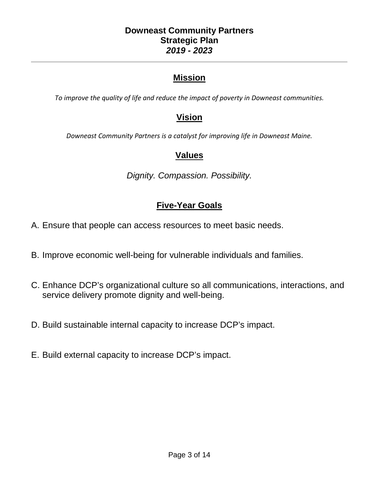## **Downeast Community Partners Strategic Plan** *2019 - 2023*

## **Mission**

*To improve the quality of life and reduce the impact of poverty in Downeast communities.*

## **Vision**

*Downeast Community Partners is a catalyst for improving life in Downeast Maine.*

## **Values**

*Dignity. Compassion. Possibility.*

## **Five-Year Goals**

- A. Ensure that people can access resources to meet basic needs.
- B. Improve economic well-being for vulnerable individuals and families.
- C. Enhance DCP's organizational culture so all communications, interactions, and service delivery promote dignity and well-being.
- D. Build sustainable internal capacity to increase DCP's impact.
- E. Build external capacity to increase DCP's impact.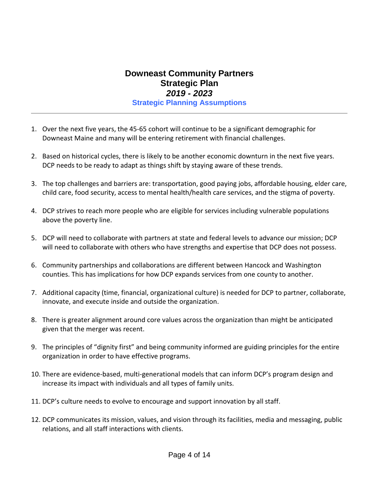## **Downeast Community Partners Strategic Plan** *2019 - 2023* **Strategic Planning Assumptions**

- 1. Over the next five years, the 45-65 cohort will continue to be a significant demographic for Downeast Maine and many will be entering retirement with financial challenges.
- 2. Based on historical cycles, there is likely to be another economic downturn in the next five years. DCP needs to be ready to adapt as things shift by staying aware of these trends.
- 3. The top challenges and barriers are: transportation, good paying jobs, affordable housing, elder care, child care, food security, access to mental health/health care services, and the stigma of poverty.
- 4. DCP strives to reach more people who are eligible for services including vulnerable populations above the poverty line.
- 5. DCP will need to collaborate with partners at state and federal levels to advance our mission; DCP will need to collaborate with others who have strengths and expertise that DCP does not possess.
- 6. Community partnerships and collaborations are different between Hancock and Washington counties. This has implications for how DCP expands services from one county to another.
- 7. Additional capacity (time, financial, organizational culture) is needed for DCP to partner, collaborate, innovate, and execute inside and outside the organization.
- 8. There is greater alignment around core values across the organization than might be anticipated given that the merger was recent.
- 9. The principles of "dignity first" and being community informed are guiding principles for the entire organization in order to have effective programs.
- 10. There are evidence-based, multi-generational models that can inform DCP's program design and increase its impact with individuals and all types of family units.
- 11. DCP's culture needs to evolve to encourage and support innovation by all staff.
- 12. DCP communicates its mission, values, and vision through its facilities, media and messaging, public relations, and all staff interactions with clients.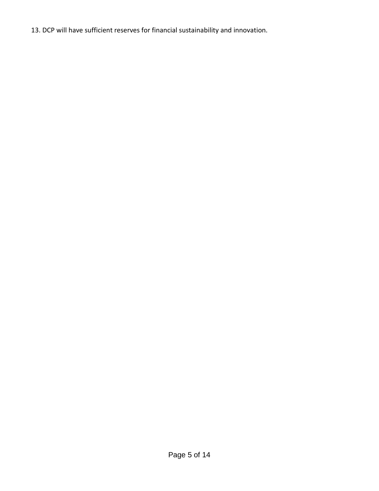13. DCP will have sufficient reserves for financial sustainability and innovation.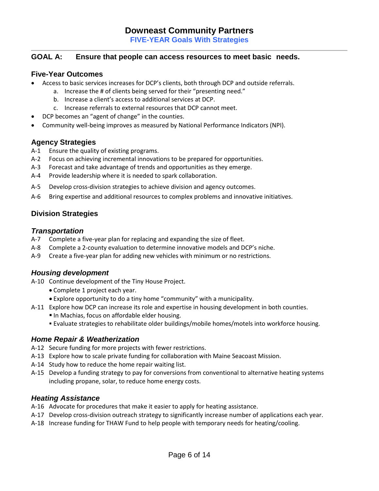#### **GOAL A: Ensure that people can access resources to meet basic needs.**

#### **Five-Year Outcomes**

- Access to basic services increases for DCP's clients, both through DCP and outside referrals.
	- a. Increase the # of clients being served for their "presenting need."
		- b. Increase a client's access to additional services at DCP.
		- c. Increase referrals to external resources that DCP cannot meet.
- DCP becomes an "agent of change" in the counties.
- Community well-being improves as measured by National Performance Indicators (NPI).

### **Agency Strategies**

- A-1 Ensure the quality of existing programs.
- A-2 Focus on achieving incremental innovations to be prepared for opportunities.
- A-3 Forecast and take advantage of trends and opportunities as they emerge.
- A-4 Provide leadership where it is needed to spark collaboration.
- A-5 Develop cross-division strategies to achieve division and agency outcomes.
- A-6 Bring expertise and additional resources to complex problems and innovative initiatives.

## **Division Strategies**

#### *Transportation*

- A-7 Complete a five-year plan for replacing and expanding the size of fleet.
- A-8 Complete a 2-county evaluation to determine innovative models and DCP's niche.
- A-9 Create a five-year plan for adding new vehicles with minimum or no restrictions.

### *Housing development*

- A-10 Continue development of the Tiny House Project.
	- Complete 1 project each year.
	- Explore opportunity to do a tiny home "community" with a municipality.
- A-11 Explore how DCP can increase its role and expertise in housing development in both counties.
	- **In Machias, focus on affordable elder housing.**
	- Evaluate strategies to rehabilitate older buildings/mobile homes/motels into workforce housing.

### *Home Repair & Weatherization*

- A-12 Secure funding for more projects with fewer restrictions.
- A-13 Explore how to scale private funding for collaboration with Maine Seacoast Mission.
- A-14 Study how to reduce the home repair waiting list.
- A-15 Develop a funding strategy to pay for conversions from conventional to alternative heating systems including propane, solar, to reduce home energy costs.

#### *Heating Assistance*

- A-16 Advocate for procedures that make it easier to apply for heating assistance.
- A-17 Develop cross-division outreach strategy to significantly increase number of applications each year.
- A-18 Increase funding for THAW Fund to help people with temporary needs for heating/cooling.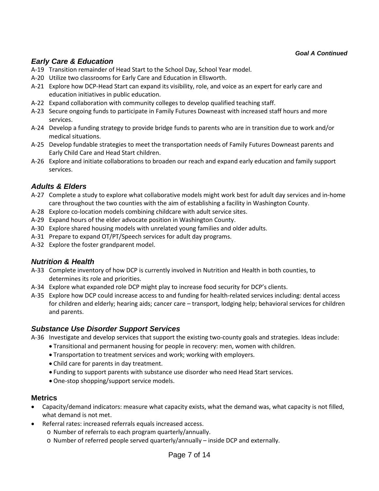#### *Goal A Continued*

## *Early Care & Education*

- A-19 Transition remainder of Head Start to the School Day, School Year model.
- A-20 Utilize two classrooms for Early Care and Education in Ellsworth.
- A-21 Explore how DCP-Head Start can expand its visibility, role, and voice as an expert for early care and education initiatives in public education.
- A-22 Expand collaboration with community colleges to develop qualified teaching staff.
- A-23 Secure ongoing funds to participate in Family Futures Downeast with increased staff hours and more services.
- A-24 Develop a funding strategy to provide bridge funds to parents who are in transition due to work and/or medical situations.
- A-25 Develop fundable strategies to meet the transportation needs of Family Futures Downeast parents and Early Child Care and Head Start children.
- A-26 Explore and initiate collaborations to broaden our reach and expand early education and family support services.

## *Adults & Elders*

- A-27 Complete a study to explore what collaborative models might work best for adult day services and in-home care throughout the two counties with the aim of establishing a facility in Washington County.
- A-28 Explore co-location models combining childcare with adult service sites.
- A-29 Expand hours of the elder advocate position in Washington County.
- A-30 Explore shared housing models with unrelated young families and older adults.
- A-31 Prepare to expand OT/PT/Speech services for adult day programs.
- A-32 Explore the foster grandparent model.

### *Nutrition & Health*

- A-33 Complete inventory of how DCP is currently involved in Nutrition and Health in both counties, to determines its role and priorities.
- A-34 Explore what expanded role DCP might play to increase food security for DCP's clients.
- A-35 Explore how DCP could increase access to and funding for health-related services including: dental access for children and elderly; hearing aids; cancer care – transport, lodging help; behavioral services for children and parents.

### *Substance Use Disorder Support Services*

A-36 Investigate and develop services that support the existing two-county goals and strategies. Ideas include:

- Transitional and permanent housing for people in recovery: men, women with children.
- Transportation to treatment services and work; working with employers.
- Child care for parents in day treatment.
- Funding to support parents with substance use disorder who need Head Start services.
- One-stop shopping/support service models.

- Capacity/demand indicators: measure what capacity exists, what the demand was, what capacity is not filled, what demand is not met.
- Referral rates: increased referrals equals increased access.
	- o Number of referrals to each program quarterly/annually.
	- o Number of referred people served quarterly/annually inside DCP and externally.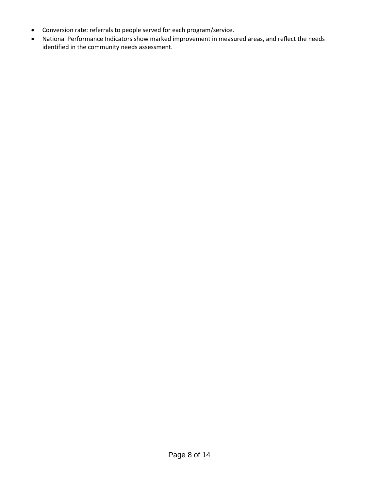- Conversion rate: referrals to people served for each program/service.
- National Performance Indicators show marked improvement in measured areas, and reflect the needs identified in the community needs assessment.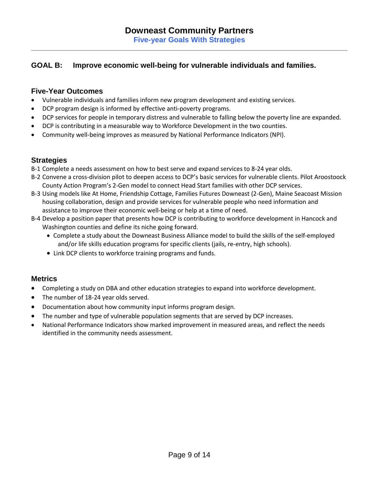## **GOAL B: Improve economic well-being for vulnerable individuals and families.**

#### **Five-Year Outcomes**

- Vulnerable individuals and families inform new program development and existing services.
- DCP program design is informed by effective anti-poverty programs.
- DCP services for people in temporary distress and vulnerable to falling below the poverty line are expanded.
- DCP is contributing in a measurable way to Workforce Development in the two counties.
- Community well-being improves as measured by National Performance Indicators (NPI).

### **Strategies**

- B-1 Complete a needs assessment on how to best serve and expand services to 8-24 year olds.
- B-2 Convene a cross-division pilot to deepen access to DCP's basic services for vulnerable clients. Pilot Aroostoock County Action Program's 2-Gen model to connect Head Start families with other DCP services.
- B-3 Using models like At Home, Friendship Cottage, Families Futures Downeast (2-Gen), Maine Seacoast Mission housing collaboration, design and provide services for vulnerable people who need information and assistance to improve their economic well-being or help at a time of need.
- B-4 Develop a position paper that presents how DCP is contributing to workforce development in Hancock and Washington counties and define its niche going forward.
	- Complete a study about the Downeast Business Alliance model to build the skills of the self-employed and/or life skills education programs for specific clients (jails, re-entry, high schools).
	- Link DCP clients to workforce training programs and funds.

- Completing a study on DBA and other education strategies to expand into workforce development.
- The number of 18-24 year olds served.
- Documentation about how community input informs program design.
- The number and type of vulnerable population segments that are served by DCP increases.
- National Performance Indicators show marked improvement in measured areas, and reflect the needs identified in the community needs assessment.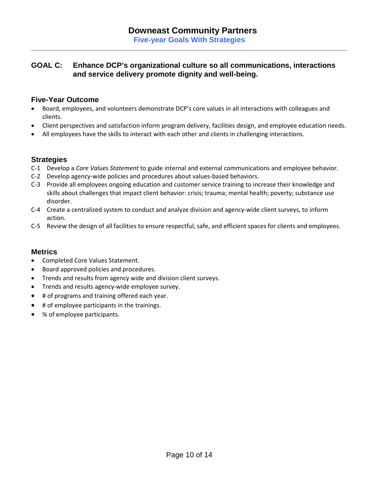## **GOAL C: Enhance DCP's organizational culture so all communications, interactions and service delivery promote dignity and well-being.**

### **Five-Year Outcome**

- Board, employees, and volunteers demonstrate DCP's core values in all interactions with colleagues and clients.
- Client perspectives and satisfaction inform program delivery, facilities design, and employee education needs.
- All employees have the skills to interact with each other and clients in challenging interactions.

### **Strategies**

- C-1 Develop a *Core Values Statement* to guide internal and external communications and employee behavior.
- C-2 Develop agency-wide policies and procedures about values-based behaviors.
- C-3 Provide all employees ongoing education and customer service training to increase their knowledge and skills about challenges that impact client behavior: crisis; trauma; mental health; poverty; substance use disorder.
- C-4 Create a centralized system to conduct and analyze division and agency-wide client surveys, to inform action.
- C-5 Review the design of all facilities to ensure respectful, safe, and efficient spaces for clients and employees.

- Completed Core Values Statement.
- Board approved policies and procedures.
- Trends and results from agency wide and division client surveys.
- Trends and results agency-wide employee survey.
- # of programs and training offered each year.
- # of employee participants in the trainings.
- % of employee participants.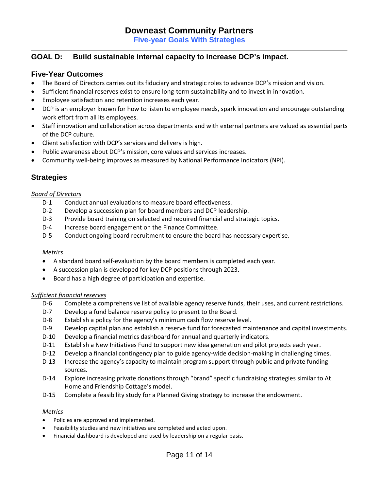**Five-year Goals With Strategies** 

#### **GOAL D: Build sustainable internal capacity to increase DCP's impact.**

#### **Five-Year Outcomes**

- The Board of Directors carries out its fiduciary and strategic roles to advance DCP's mission and vision.
- Sufficient financial reserves exist to ensure long-term sustainability and to invest in innovation.
- Employee satisfaction and retention increases each year.
- DCP is an employer known for how to listen to employee needs, spark innovation and encourage outstanding work effort from all its employees.
- Staff innovation and collaboration across departments and with external partners are valued as essential parts of the DCP culture.
- Client satisfaction with DCP's services and delivery is high.
- Public awareness about DCP's mission, core values and services increases.
- Community well-being improves as measured by National Performance Indicators (NPI).

### **Strategies**

#### *Board of Directors*

- D-1 Conduct annual evaluations to measure board effectiveness.
- D-2 Develop a succession plan for board members and DCP leadership.
- D-3 Provide board training on selected and required financial and strategic topics.
- D-4 Increase board engagement on the Finance Committee.
- D-5 Conduct ongoing board recruitment to ensure the board has necessary expertise.

#### *Metrics*

- A standard board self-evaluation by the board members is completed each year.
- A succession plan is developed for key DCP positions through 2023.
- Board has a high degree of participation and expertise.

#### *Sufficient financial reserves*

- D-6 Complete a comprehensive list of available agency reserve funds, their uses, and current restrictions.
- D-7 Develop a fund balance reserve policy to present to the Board.
- D-8 Establish a policy for the agency's minimum cash flow reserve level.
- D-9 Develop capital plan and establish a reserve fund for forecasted maintenance and capital investments.
- D-10 Develop a financial metrics dashboard for annual and quarterly indicators.
- D-11 Establish a New Initiatives Fund to support new idea generation and pilot projects each year.
- D-12 Develop a financial contingency plan to guide agency-wide decision-making in challenging times.
- D-13 Increase the agency's capacity to maintain program support through public and private funding sources.
- D-14 Explore increasing private donations through "brand" specific fundraising strategies similar to At Home and Friendship Cottage's model.
- D-15 Complete a feasibility study for a Planned Giving strategy to increase the endowment.

- Policies are approved and implemented.
- Feasibility studies and new initiatives are completed and acted upon.
- Financial dashboard is developed and used by leadership on a regular basis.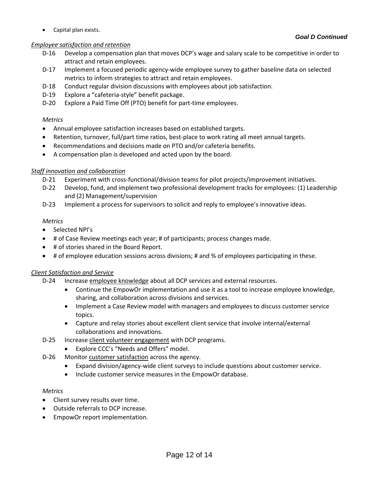• Capital plan exists.

#### *Employee satisfaction and retention*

- D-16 Develop a compensation plan that moves DCP's wage and salary scale to be competitive in order to
- attract and retain employees. D-17 Implement a focused periodic agency-wide employee survey to gather baseline data on selected metrics to inform strategies to attract and retain employees.
- D-18 Conduct regular division discussions with employees about job satisfaction.
- D-19 Explore a "cafeteria-style" benefit package.
- D-20 Explore a Paid Time Off (PTO) benefit for part-time employees.

### *Metrics*

- Annual employee satisfaction increases based on established targets.
- Retention, turnover, full/part time ratios, best-place to work rating all meet annual targets.
- Recommendations and decisions made on PTO and/or cafeteria benefits.
- A compensation plan is developed and acted upon by the board.

## *Staff innovation and collaboration*

- D-21 Experiment with cross-functional/division teams for pilot projects/improvement initiatives.
- D-22 Develop, fund, and implement two professional development tracks for employees: (1) Leadership and (2) Management/supervision
- D-23 Implement a process for supervisors to solicit and reply to employee's innovative ideas.

## *Metrics*

- Selected NPI's
- # of Case Review meetings each year; # of participants; process changes made.
- # of stories shared in the Board Report.
- # of employee education sessions across divisions; # and % of employees participating in these.

## *Client Satisfaction and Service*

- D-24 Increase employee knowledge about all DCP services and external resources.
	- Continue the EmpowOr implementation and use it as a tool to increase employee knowledge, sharing, and collaboration across divisions and services.
	- Implement a Case Review model with managers and employees to discuss customer service topics.
	- Capture and relay stories about excellent client service that involve internal/external collaborations and innovations.
- D-25 Increase client volunteer engagement with DCP programs.
	- Explore CCC's "Needs and Offers" model.
- D-26 Monitor customer satisfaction across the agency.
	- Expand division/agency-wide client surveys to include questions about customer service.
		- Include customer service measures in the EmpowOr database.

- Client survey results over time.
- Outside referrals to DCP increase.
- EmpowOr report implementation.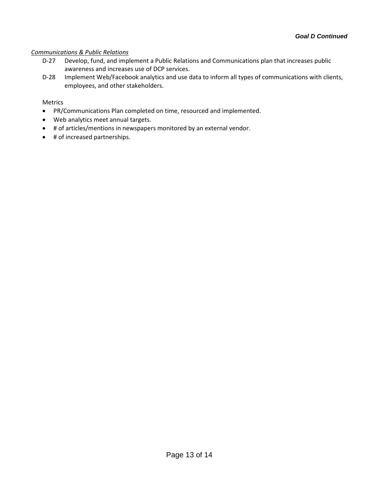#### *Communications & Public Relations*

- D-27 Develop, fund, and implement a Public Relations and Communications plan that increases public awareness and increases use of DCP services.
- D-28 Implement Web/Facebook analytics and use data to inform all types of communications with clients, employees, and other stakeholders.

- PR/Communications Plan completed on time, resourced and implemented.
- Web analytics meet annual targets.
- # of articles/mentions in newspapers monitored by an external vendor.
- # of increased partnerships.